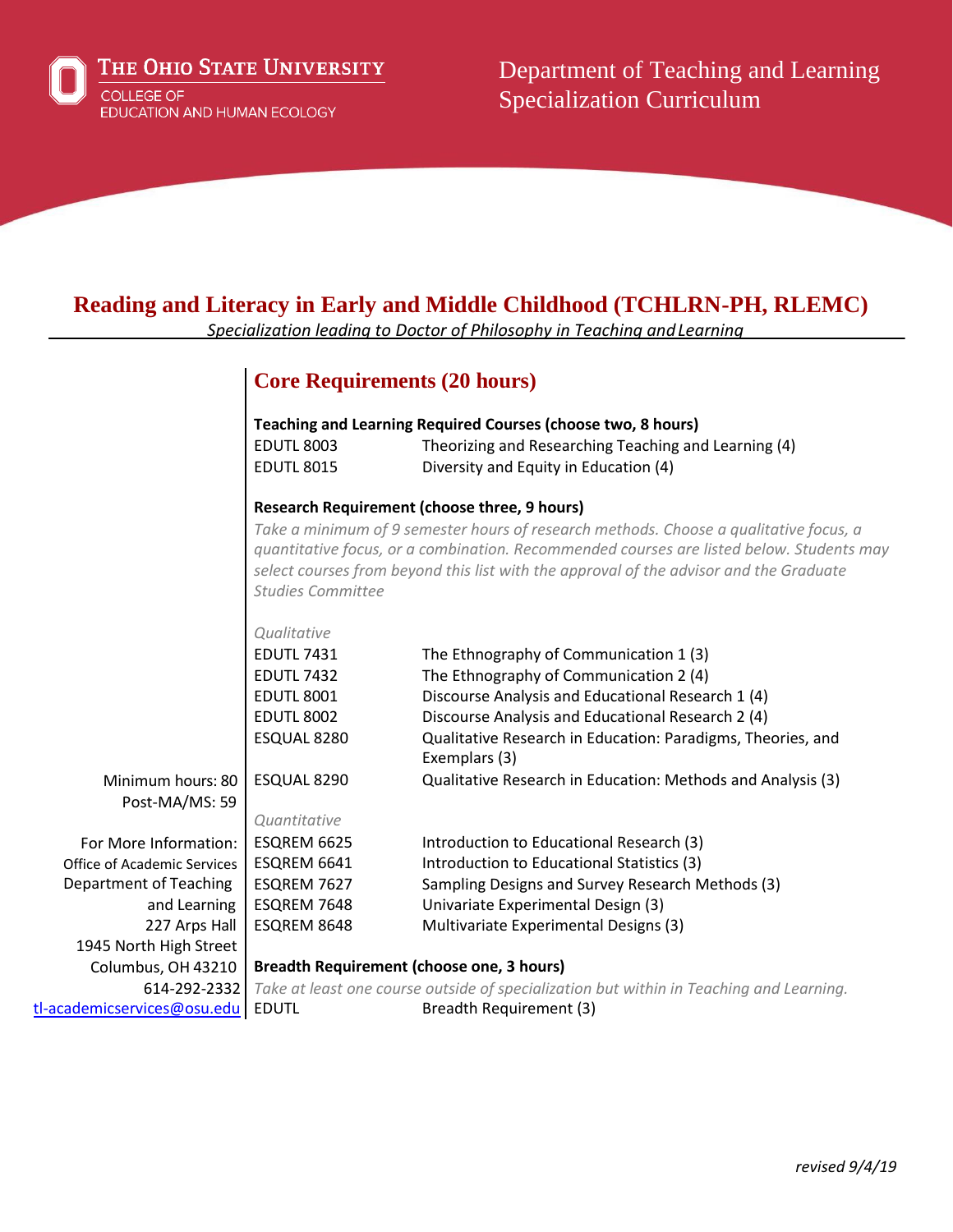

THE OHIO STATE UNIVERSITY **COLLEGE OF** 

EDUCATION AND HUMAN ECOLOGY

Department of Teaching and Learning Specialization Curriculum

# **Reading and Literacy in Early and Middle Childhood (TCHLRN-PH, RLEMC)**

*Specialization leading to Doctor of Philosophy in Teaching andLearning*

# **Core Requirements (20 hours)**

|                                                                                                                                           | <b>EDUTL 8003</b><br><b>EDUTL 8015</b>                                                                                                                                                                                                                                                                                                                         | Teaching and Learning Required Courses (choose two, 8 hours)<br>Theorizing and Researching Teaching and Learning (4)<br>Diversity and Equity in Education (4)                                                                                                                                                                             |
|-------------------------------------------------------------------------------------------------------------------------------------------|----------------------------------------------------------------------------------------------------------------------------------------------------------------------------------------------------------------------------------------------------------------------------------------------------------------------------------------------------------------|-------------------------------------------------------------------------------------------------------------------------------------------------------------------------------------------------------------------------------------------------------------------------------------------------------------------------------------------|
|                                                                                                                                           | <b>Research Requirement (choose three, 9 hours)</b><br>Take a minimum of 9 semester hours of research methods. Choose a qualitative focus, a<br>quantitative focus, or a combination. Recommended courses are listed below. Students may<br>select courses from beyond this list with the approval of the advisor and the Graduate<br><b>Studies Committee</b> |                                                                                                                                                                                                                                                                                                                                           |
| Minimum hours: 80<br>Post-MA/MS: 59                                                                                                       | Qualitative<br><b>EDUTL 7431</b><br><b>EDUTL 7432</b><br><b>EDUTL 8001</b><br><b>EDUTL 8002</b><br>ESQUAL 8280<br>ESQUAL 8290                                                                                                                                                                                                                                  | The Ethnography of Communication 1 (3)<br>The Ethnography of Communication 2 (4)<br>Discourse Analysis and Educational Research 1 (4)<br>Discourse Analysis and Educational Research 2 (4)<br>Qualitative Research in Education: Paradigms, Theories, and<br>Exemplars (3)<br>Qualitative Research in Education: Methods and Analysis (3) |
| For More Information:<br>Office of Academic Services<br>Department of Teaching<br>and Learning<br>227 Arps Hall<br>1945 North High Street | Quantitative<br>ESQREM 6625<br>ESQREM 6641<br>ESQREM 7627<br>ESQREM 7648<br>ESQREM 8648                                                                                                                                                                                                                                                                        | Introduction to Educational Research (3)<br>Introduction to Educational Statistics (3)<br>Sampling Designs and Survey Research Methods (3)<br>Univariate Experimental Design (3)<br>Multivariate Experimental Designs (3)                                                                                                                 |
| Columbus, OH 43210<br>614-292-2332<br>tl-academicservices@osu.edu                                                                         | Breadth Requirement (choose one, 3 hours)<br><b>EDUTL</b>                                                                                                                                                                                                                                                                                                      | Take at least one course outside of specialization but within in Teaching and Learning.<br>Breadth Requirement (3)                                                                                                                                                                                                                        |